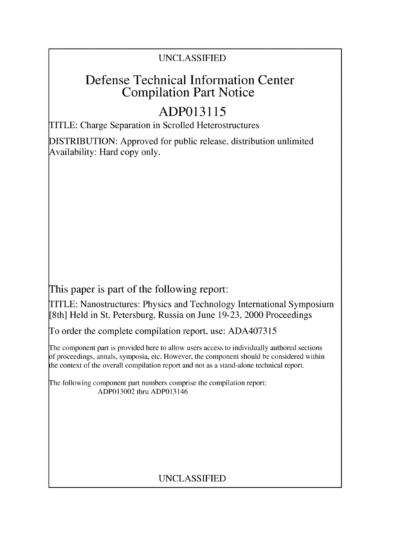### UNCLASSIFIED

## Defense Technical Information Center Compilation Part Notice

# **ADP013115**

TITLE: Charge Separation in Scrolled Heterostructures

DISTRIBUTION: Approved for public release, distribution unlimited Availability: Hard copy only.

This paper is part of the following report:

TITLE: Nanostructures: Physics and Technology International Symposium [8th] Held in St. Petersburg, Russia on June 19-23, 2000 Proceedings

To order the complete compilation report, use: ADA407315

The component part is provided here to allow users access to individually authored sections f proceedings, annals, symposia, etc. However, the component should be considered within the context of the overall compilation report and not as a stand-alone technical report.

The following component part numbers comprise the compilation report: ADP013002 thru ADP013146

### UNCLASSIFIED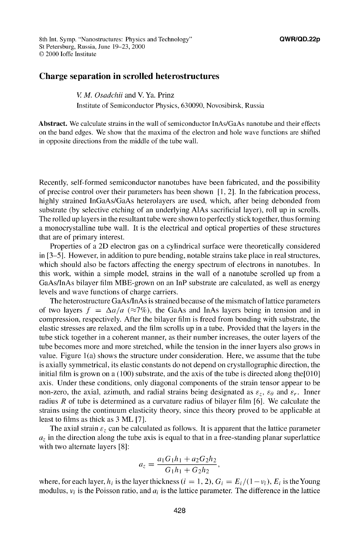8th Int. Symp. "Nanostructures: Physics and Technology" **QWR/QD.22p** St Petersburg, Russia, June 19-23, 2000 © 2000 loffe Institute

### **Charge separation in scrolled heterostructures**

*V. M. Osadchii* **and V. Ya. Prinz**

Institute of Semiconductor Physics, 630090, Novosibirsk, Russia

**Abstract.** We calculate strains in the wall of semiconductor JnAs/GaAs nanotube and their effects on the band edges. We show that the maxima of the electron and hole wave functions are shifted in opposite directions from the middle of the tube wall.

Recently, self-formed semiconductor nanotubes have been fabricated, and the possibility of precise control over their parameters has been shown  $[1, 2]$ . In the fabrication process, highly strained JnGaAs/GaAs heterolayers are used, which, after being debonded from substrate (by selective etching of an underlying AlAs sacrificial layer), roll up in scrolls. The rolled up layers in the resultant tube were shown to perfectly stick together, thus forming a monocrystalline tube wall. It is the electrical and optical properties of these structures that are of primary interest.

Properties of a 2D electron gas on a cylindrical surface were theoretically considered in [3–5]. However, in addition to pure bending, notable strains take place in real structures, which should also be factors affecting the energy spectrum of electrons in nanotubes. In this work, within a simple model, strains in the wall of a nanotube scrolled up from a GaAs/lnAs bilayer film MBE-grown on an lnP substrate are calculated, as well as energy levels and wave functions of charge carriers.

The heterostructure GaAs/InAs is strained because of the mismatch of lattice parameters of two layers  $f = \Delta a/a$  ( $\approx 7\%$ ), the GaAs and InAs layers being in tension and in compression, respectively. After the bilayer film is freed from bonding with substrate, the elastic stresses are relaxed, and the film scrolls up in a tube. Provided that the layers in the tube stick together in a coherent manner, as their number increases, the outer layers of the tube becomes more and more stretched, while the tension in the inner layers also grows in value. Figure  $1(a)$  shows the structure under consideration. Here, we assume that the tube is axially symmetrical, its elastic constants do not depend on crystallographic direction, the initial film is grown on a (100) substrate, and the axis of the tube is directed along the[010] axis. Under these conditions, only diagonal components of the strain tensor appear to be non-zero, the axial, azimuth, and radial strains being designated as  $\varepsilon_z$ ,  $\varepsilon_\theta$  and  $\varepsilon_r$ . Inner radius  $R$  of tube is determined as a curvature radius of bilayer film [6]. We calculate the strains using the continuum elasticity theory, since this theory proved to be applicable at least to films as thick as 3 ML [7].

The axial strain  $\varepsilon_z$  can be calculated as follows. It is apparent that the lattice parameter  $a<sub>z</sub>$  in the direction along the tube axis is equal to that in a free-standing planar superlattice with two alternate layers [8]:

$$
a_z = \frac{a_1 G_1 h_1 + a_2 G_2 h_2}{G_1 h_1 + G_2 h_2},
$$

where, for each layer,  $h_i$  is the layer thickness  $(i = 1, 2)$ ,  $G_i = E_i/(1 - v_i)$ ,  $E_i$  is the Young modulus,  $v_i$  is the Poisson ratio, and  $a_i$  is the lattice parameter. The difference in the lattice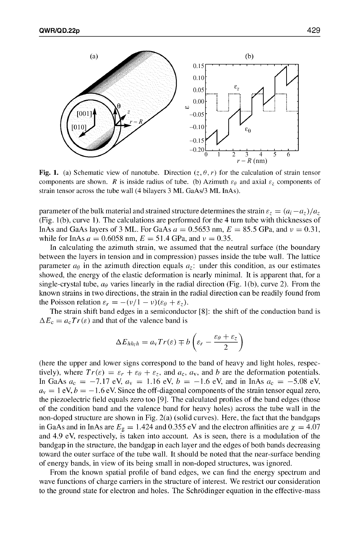

Fig. 1. (a) Schematic view of nanotube. Direction  $(z, \theta, r)$  for the calculation of strain tensor components are shown. R is inside radius of tube. (b) Azimuth  $\varepsilon_{\theta}$  and axial  $\varepsilon_{z}$  components of strain tensor across the tube wall (4 bilayers 3 ML GaAs/3 ML InAs).

parameter of the bulk material and strained structure determines the strain  $\varepsilon_z = (a_i - a_{\bar{z}})/a_{\bar{z}}$ (Fig. 1 (b), curve 1). The calculations are performed for the 4 turn tube with thicknesses of InAs and GaAs layers of 3 ML. For GaAs  $a = 0.5653$  nm,  $E = 85.5$  GPa, and  $v = 0.31$ , while for InAs  $a = 0.6058$  nm,  $E = 51.4$  GPa, and  $v = 0.35$ .

In calculating the azimuth strain, we assumed that the neutral surface (the boundary between the layers in tension and in compression) passes inside the tube wall. The lattice parameter  $a_{\theta}$  in the azimuth direction equals  $a_{\tau}$ : under this condition, as our estimates showed, the energy of the elastic deformation is nearly minimal. It is apparent that, for a single-crystal tube,  $a_{\theta}$  varies linearly in the radial direction (Fig. 1(b), curve 2). From the known strains in two directions, the strain in the radial direction can be readily found from the Poisson relation  $\varepsilon_r = -(\nu/1 - \nu)(\varepsilon_\theta + \varepsilon_z)$ .

The strain shift band edges in a semiconductor [81]: the shift of the conduction band is  $\Delta E_c = a_c Tr(\varepsilon)$  and that of the valence band is<br>  $\Delta E_{hhh} = a_v Tr(\varepsilon) \mp b \left( \varepsilon_r - \frac{\varepsilon_\theta + \varepsilon_r}{2} \right)$ 

$$
\Delta E_{hh_lh} = a_v Tr(\varepsilon) \mp b \left( \varepsilon_r - \frac{\varepsilon_\theta + \varepsilon_z}{2} \right)
$$

(here the upper and lower signs correspond to the band of heavy and light holes, respectively), where  $Tr(\varepsilon) = \varepsilon_r + \varepsilon_\theta + \varepsilon_z$ , and  $a_c$ ,  $a_v$ , and b are the deformation potentials. In GaAs  $a_c = -7.17$  eV,  $a_v = 1.16$  eV,  $b = -1.6$  eV, and in InAs  $a_c = -5.08$  eV,  $a<sub>v</sub> = 1$  eV,  $b = -1.6$  eV. Since the off-diagonal components of the strain tensor equal zero, the piezoelectric field equals zero too [9 **1.** The calculated profiles of the band edges (those of the condition band and the valence band for heavy holes) across the tube wall in the non-doped structure are shown in Fig. 2(a) (solid curves). Here, the fact that the bandgaps in GaAs and in InAs are  $E<sub>g</sub> = 1.424$  and 0.355 eV and the electron affinities are  $\chi = 4.07$ and 4.9 eV, respectively, is taken into account. As is seen, there is a modulation of the bandgap in the structure, the bandgap in each layer and the edges of both bands decreasing toward the outer surface of the tube wall. It should be noted that the near-surface bending of energy bands, in view of its being small in non-doped structures, was ignored.

From the known spatial profile of band edges, we can find the energy spectrum and wave functions of charge carriers in the structure of interest. We restrict our consideration to the ground state for electron and holes. The Schrddinger equation in the effective-mass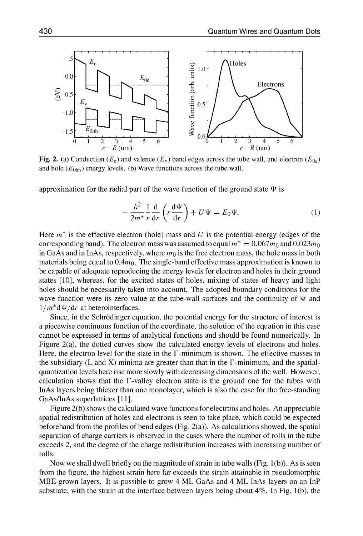

Fig. 2. (a) Conduction ( $E_c$ ) and valence ( $E_v$ ) band edges across the tube wall, and electron ( $E_{0e}$ ) and hole  $(E<sub>0hh</sub>)$  energy levels. **(b)** Wave functions across the tube wall.

approximation for the radial part of the wave function of the ground state  $\Psi$  is

$$
-\frac{\hbar^2}{2m^*} \frac{1}{r} \frac{d}{dr} \left(r \frac{d\Psi}{dr}\right) + U\Psi = E_0 \Psi.
$$
 (1)

Here  $m^*$  is the effective electron (hole) mass and U is the potential energy (edges of the corresponding band). The electron mass was assumed to equal  $m^* = 0.067m_0$  and  $0.023m_0$ in GaAs and in InAs, respectively, where *mo* is the free electron mass, the hole mass in both materials being equal to  $0.4m_0$ . The single-band effective mass approximation is known to be capable of adequate reproducing the energy levels for electron and holes in their ground states **[101,** whereas, for the excited states of holes, mixing of states of heavy and light holes should be necessarily taken into account. The adopted boundary conditions for the wave function were its zero value at the tube-wall surfaces and the continuity of  $\Psi$  and  $1/m^*d\Psi/dr$  at heterointerfaces.

Since, in the Schrddinger equation, the potential energy for the structure of interest is a piecewise continuous function of the coordinate, the solution of the equation in this case cannot be expressed in terms of analytical functions and should be found numerically. In Figure 2(a), the dotted curves show the calculated energy levels of electrons and holes. Here, the electron level for the state in the  $\Gamma$ -minimum is shown. The effective masses in the subsidiary (L and X) minima are greater than that in the  $\Gamma$ -minimum, and the spatialquantization levels here rise more slowly with decreasing dimensions of the well. However, calculation shows that the F-valley electron state is the ground one for the tubes with InAs layers being thicker than one monolayer, which is also the case for the free-standing GaAs/InAs superlattices **[I 1].**

Figure 2(b) shows the calculated wave functions for electrons and holes. An appreciable spatial redistribution of holes and electrons is seen to take place, which could be expected beforehand from the profiles of bend edges (Fig.  $2(a)$ ). As calculations showed, the spatial separation of charge carriers is observed in the cases where the number of rolls in the tube exceeds 2, and the degree of the charge redistribution increases with increasing number of rolls.

Now we shall dwell briefly on the magnitude of strain in tube walls (Fig.  $1(b)$ ). As is seen from the figure, the highest strain here far exceeds the strain attainable in pseudomorphic MBE-grown layers. It is possible to grow 4 ML GaAs and 4 ML InAs layers on an InP substrate, with the strain at the interface between layers being about  $4\%$ . In Fig. 1(b), the